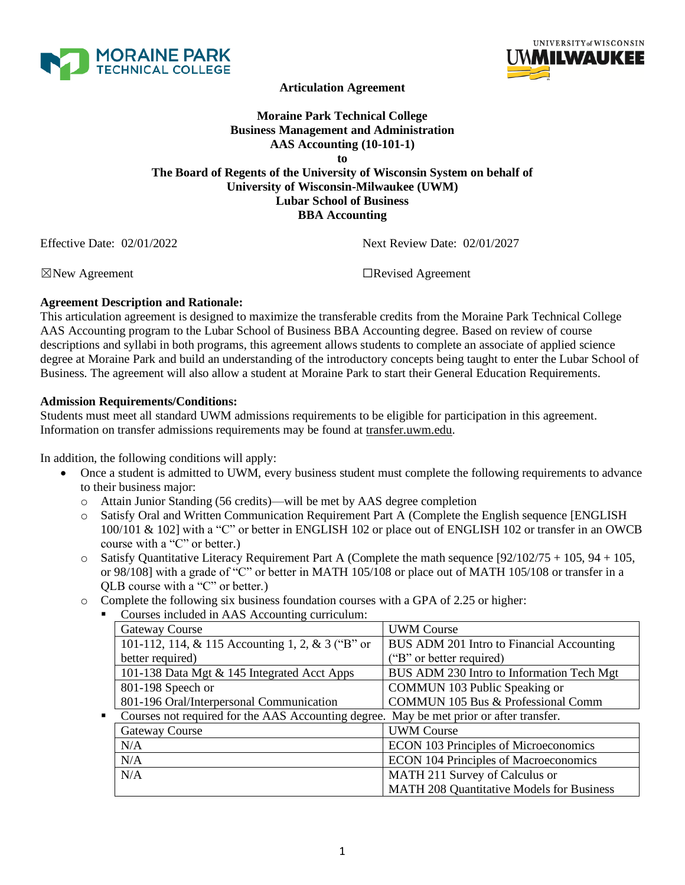



**Articulation Agreement**

## **Moraine Park Technical College Business Management and Administration AAS Accounting (10-101-1) to The Board of Regents of the University of Wisconsin System on behalf of University of Wisconsin-Milwaukee (UWM) Lubar School of Business BBA Accounting**

Effective Date: 02/01/2022 Next Review Date: 02/01/2027

☒New Agreement ☐Revised Agreement

# **Agreement Description and Rationale:**

This articulation agreement is designed to maximize the transferable credits from the Moraine Park Technical College AAS Accounting program to the Lubar School of Business BBA Accounting degree. Based on review of course descriptions and syllabi in both programs, this agreement allows students to complete an associate of applied science degree at Moraine Park and build an understanding of the introductory concepts being taught to enter the Lubar School of Business. The agreement will also allow a student at Moraine Park to start their General Education Requirements.

### **Admission Requirements/Conditions:**

Students must meet all standard UWM admissions requirements to be eligible for participation in this agreement. Information on transfer admissions requirements may be found at transfer.uwm.edu.

In addition, the following conditions will apply:

- Once a student is admitted to UWM, every business student must complete the following requirements to advance to their business major:
	- o Attain Junior Standing (56 credits)—will be met by AAS degree completion
	- o Satisfy Oral and Written Communication Requirement Part A (Complete the English sequence [ENGLISH 100/101 & 102] with a "C" or better in ENGLISH 102 or place out of ENGLISH 102 or transfer in an OWCB course with a "C" or better.)
	- $\circ$  Satisfy Quantitative Literacy Requirement Part A (Complete the math sequence [92/102/75 + 105, 94 + 105, or 98/108] with a grade of "C" or better in MATH 105/108 or place out of MATH 105/108 or transfer in a QLB course with a "C" or better.)
	- o Complete the following six business foundation courses with a GPA of 2.25 or higher:
		- Courses included in AAS Accounting curriculum:

|                                             | Gateway Course                                                                          | <b>UWM</b> Course                                |  |
|---------------------------------------------|-----------------------------------------------------------------------------------------|--------------------------------------------------|--|
|                                             | 101-112, 114, & 115 Accounting 1, 2, & 3 ("B" or                                        | BUS ADM 201 Intro to Financial Accounting        |  |
|                                             | better required)                                                                        | ("B" or better required)                         |  |
| 101-138 Data Mgt & 145 Integrated Acct Apps |                                                                                         | BUS ADM 230 Intro to Information Tech Mgt        |  |
|                                             | 801-198 Speech or                                                                       | COMMUN 103 Public Speaking or                    |  |
|                                             | 801-196 Oral/Interpersonal Communication                                                | <b>COMMUN 105 Bus &amp; Professional Comm</b>    |  |
| $\blacksquare$                              | Courses not required for the AAS Accounting degree. May be met prior or after transfer. |                                                  |  |
|                                             | <b>Gateway Course</b>                                                                   | <b>UWM Course</b>                                |  |
|                                             | N/A                                                                                     | <b>ECON 103 Principles of Microeconomics</b>     |  |
|                                             | N/A                                                                                     | <b>ECON 104 Principles of Macroeconomics</b>     |  |
|                                             | N/A                                                                                     | MATH 211 Survey of Calculus or                   |  |
|                                             |                                                                                         | <b>MATH 208 Quantitative Models for Business</b> |  |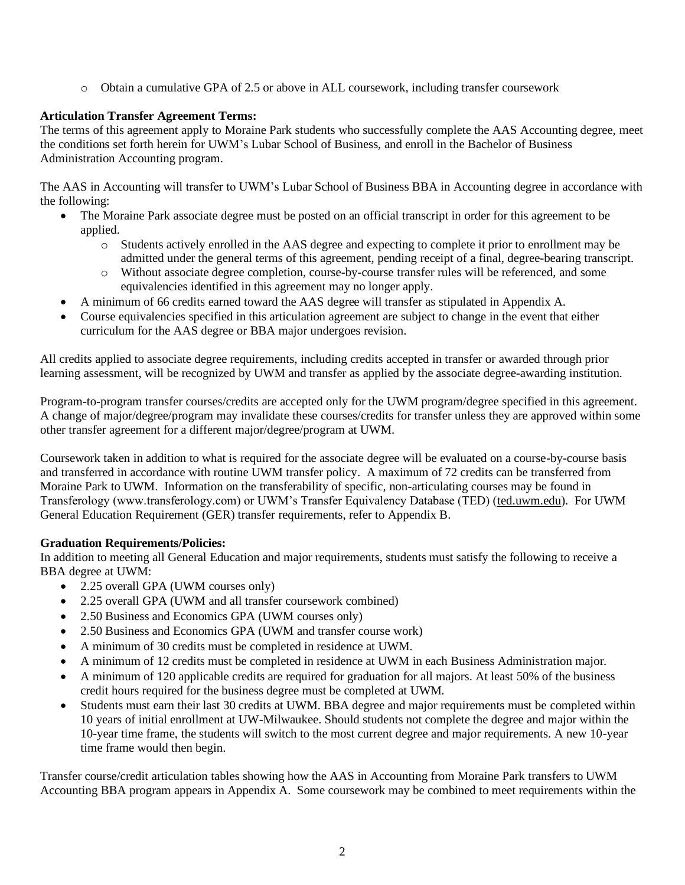o Obtain a cumulative GPA of 2.5 or above in ALL coursework, including transfer coursework

# **Articulation Transfer Agreement Terms:**

The terms of this agreement apply to Moraine Park students who successfully complete the AAS Accounting degree, meet the conditions set forth herein for UWM's Lubar School of Business, and enroll in the Bachelor of Business Administration Accounting program.

The AAS in Accounting will transfer to UWM's Lubar School of Business BBA in Accounting degree in accordance with the following:

- The Moraine Park associate degree must be posted on an official transcript in order for this agreement to be applied.
	- o Students actively enrolled in the AAS degree and expecting to complete it prior to enrollment may be admitted under the general terms of this agreement, pending receipt of a final, degree-bearing transcript.
	- o Without associate degree completion, course-by-course transfer rules will be referenced, and some equivalencies identified in this agreement may no longer apply.
- A minimum of 66 credits earned toward the AAS degree will transfer as stipulated in Appendix A.
- Course equivalencies specified in this articulation agreement are subject to change in the event that either curriculum for the AAS degree or BBA major undergoes revision.

All credits applied to associate degree requirements, including credits accepted in transfer or awarded through prior learning assessment, will be recognized by UWM and transfer as applied by the associate degree-awarding institution.

Program-to-program transfer courses/credits are accepted only for the UWM program/degree specified in this agreement. A change of major/degree/program may invalidate these courses/credits for transfer unless they are approved within some other transfer agreement for a different major/degree/program at UWM.

Coursework taken in addition to what is required for the associate degree will be evaluated on a course-by-course basis and transferred in accordance with routine UWM transfer policy. A maximum of 72 credits can be transferred from Moraine Park to UWM. Information on the transferability of specific, non-articulating courses may be found in Transferology (www.transferology.com) or UWM's Transfer Equivalency Database (TED) (ted.uwm.edu). For UWM General Education Requirement (GER) transfer requirements, refer to Appendix B.

# **Graduation Requirements/Policies:**

In addition to meeting all General Education and major requirements, students must satisfy the following to receive a BBA degree at UWM:

- 2.25 overall GPA (UWM courses only)
- 2.25 overall GPA (UWM and all transfer coursework combined)
- 2.50 Business and Economics GPA (UWM courses only)
- 2.50 Business and Economics GPA (UWM and transfer course work)
- A minimum of 30 credits must be completed in residence at UWM.
- A minimum of 12 credits must be completed in residence at UWM in each Business Administration major.
- A minimum of 120 applicable credits are required for graduation for all majors. At least 50% of the business credit hours required for the business degree must be completed at UWM.
- Students must earn their last 30 credits at UWM. BBA degree and major requirements must be completed within 10 years of initial enrollment at UW-Milwaukee. Should students not complete the degree and major within the 10-year time frame, the students will switch to the most current degree and major requirements. A new 10-year time frame would then begin.

Transfer course/credit articulation tables showing how the AAS in Accounting from Moraine Park transfers to UWM Accounting BBA program appears in Appendix A. Some coursework may be combined to meet requirements within the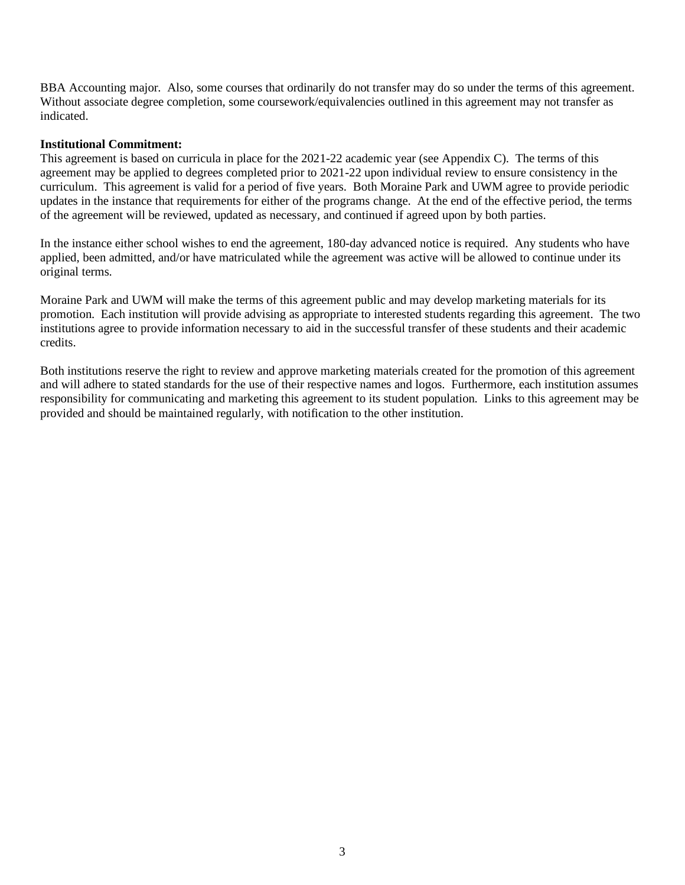BBA Accounting major. Also, some courses that ordinarily do not transfer may do so under the terms of this agreement. Without associate degree completion, some coursework/equivalencies outlined in this agreement may not transfer as indicated.

#### **Institutional Commitment:**

This agreement is based on curricula in place for the 2021-22 academic year (see Appendix C). The terms of this agreement may be applied to degrees completed prior to 2021-22 upon individual review to ensure consistency in the curriculum. This agreement is valid for a period of five years. Both Moraine Park and UWM agree to provide periodic updates in the instance that requirements for either of the programs change. At the end of the effective period, the terms of the agreement will be reviewed, updated as necessary, and continued if agreed upon by both parties.

In the instance either school wishes to end the agreement, 180-day advanced notice is required. Any students who have applied, been admitted, and/or have matriculated while the agreement was active will be allowed to continue under its original terms.

Moraine Park and UWM will make the terms of this agreement public and may develop marketing materials for its promotion. Each institution will provide advising as appropriate to interested students regarding this agreement. The two institutions agree to provide information necessary to aid in the successful transfer of these students and their academic credits.

Both institutions reserve the right to review and approve marketing materials created for the promotion of this agreement and will adhere to stated standards for the use of their respective names and logos. Furthermore, each institution assumes responsibility for communicating and marketing this agreement to its student population. Links to this agreement may be provided and should be maintained regularly, with notification to the other institution.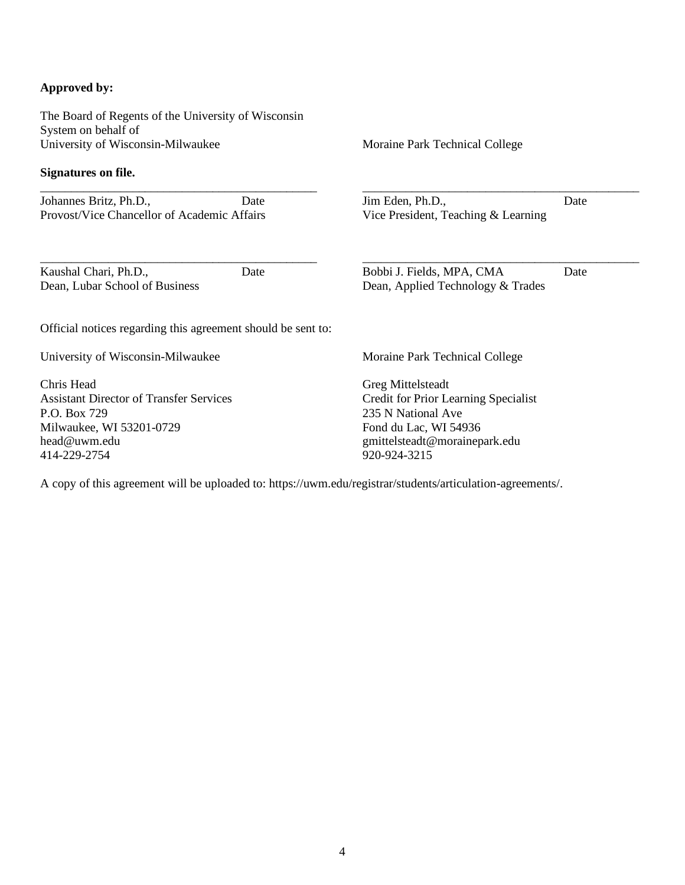### **Approved by:**

The Board of Regents of the University of Wisconsin System on behalf of University of Wisconsin-Milwaukee

#### **Signatures on file.**

\_\_\_\_\_\_\_\_\_\_\_\_\_\_\_\_\_\_\_\_\_\_\_\_\_\_\_\_\_\_\_\_\_\_\_\_\_\_\_\_\_\_\_\_\_ Johannes Britz, Ph.D., Date Provost/Vice Chancellor of Academic Affairs

Kaushal Chari, Ph.D., Date Dean, Lubar School of Business

Moraine Park Technical College

Jim Eden, Ph.D., Date Vice President, Teaching & Learning

\_\_\_\_\_\_\_\_\_\_\_\_\_\_\_\_\_\_\_\_\_\_\_\_\_\_\_\_\_\_\_\_\_\_\_\_\_\_\_\_\_\_\_\_\_

\_\_\_\_\_\_\_\_\_\_\_\_\_\_\_\_\_\_\_\_\_\_\_\_\_\_\_\_\_\_\_\_\_\_\_\_\_\_\_\_\_\_\_\_\_ Bobbi J. Fields, MPA, CMA Date

Dean, Applied Technology & Trades

Official notices regarding this agreement should be sent to:

\_\_\_\_\_\_\_\_\_\_\_\_\_\_\_\_\_\_\_\_\_\_\_\_\_\_\_\_\_\_\_\_\_\_\_\_\_\_\_\_\_\_\_\_\_

University of Wisconsin-Milwaukee

Chris Head Assistant Director of Transfer Services P.O. Box 729 Milwaukee, WI 53201-0729 head@uwm.edu 414-229-2754

Moraine Park Technical College

Greg Mittelsteadt Credit for Prior Learning Specialist 235 N National Ave Fond du Lac, WI 54936 gmittelsteadt@morainepark.edu 920-924-3215

A copy of this agreement will be uploaded to: https://uwm.edu/registrar/students/articulation-agreements/.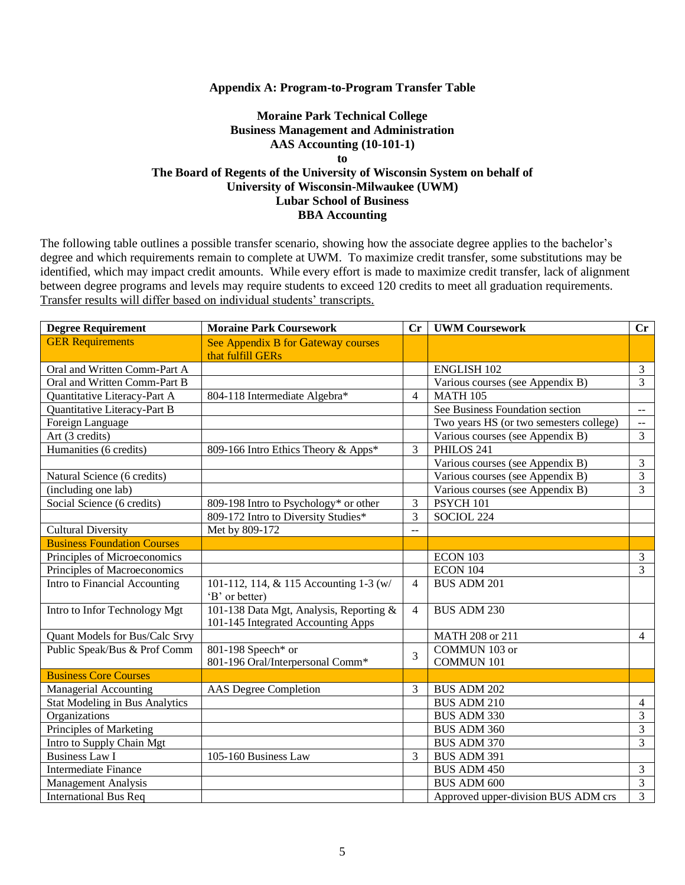#### **Appendix A: Program-to-Program Transfer Table**

### **Moraine Park Technical College Business Management and Administration AAS Accounting (10-101-1) to The Board of Regents of the University of Wisconsin System on behalf of University of Wisconsin-Milwaukee (UWM) Lubar School of Business BBA Accounting**

The following table outlines a possible transfer scenario, showing how the associate degree applies to the bachelor's degree and which requirements remain to complete at UWM. To maximize credit transfer, some substitutions may be identified, which may impact credit amounts. While every effort is made to maximize credit transfer, lack of alignment between degree programs and levels may require students to exceed 120 credits to meet all graduation requirements. Transfer results will differ based on individual students' transcripts.

| <b>Degree Requirement</b>             | <b>Moraine Park Coursework</b>                                                | $C_{r}$        | <b>UWM Coursework</b>                   | $\mathbf{C}\mathbf{r}$  |
|---------------------------------------|-------------------------------------------------------------------------------|----------------|-----------------------------------------|-------------------------|
| <b>GER Requirements</b>               | See Appendix B for Gateway courses                                            |                |                                         |                         |
|                                       | that fulfill GERs                                                             |                |                                         |                         |
| Oral and Written Comm-Part A          |                                                                               |                | <b>ENGLISH 102</b>                      | $\mathfrak{Z}$          |
| Oral and Written Comm-Part B          |                                                                               |                | Various courses (see Appendix B)        | $\overline{3}$          |
| Quantitative Literacy-Part A          | 804-118 Intermediate Algebra*                                                 | 4              | <b>MATH 105</b>                         |                         |
| Quantitative Literacy-Part B          |                                                                               |                | See Business Foundation section         | $\overline{a}$          |
| Foreign Language                      |                                                                               |                | Two years HS (or two semesters college) | $\sim$ $\sim$           |
| Art (3 credits)                       |                                                                               |                | Various courses (see Appendix B)        | 3                       |
| Humanities (6 credits)                | 809-166 Intro Ethics Theory & Apps*                                           | 3              | PHILOS 241                              |                         |
|                                       |                                                                               |                | Various courses (see Appendix B)        | $\overline{3}$          |
| Natural Science (6 credits)           |                                                                               |                | Various courses (see Appendix B)        | $\overline{3}$          |
| (including one lab)                   |                                                                               |                | Various courses (see Appendix B)        | $\overline{3}$          |
| Social Science (6 credits)            | 809-198 Intro to Psychology* or other                                         | 3              | PSYCH 101                               |                         |
|                                       | 809-172 Intro to Diversity Studies*                                           | 3              | SOCIOL 224                              |                         |
| <b>Cultural Diversity</b>             | Met by 809-172                                                                | $-$            |                                         |                         |
| <b>Business Foundation Courses</b>    |                                                                               |                |                                         |                         |
| Principles of Microeconomics          |                                                                               |                | ECON 103                                | $\mathfrak{Z}$          |
| Principles of Macroeconomics          |                                                                               |                | <b>ECON 104</b>                         | 3                       |
| Intro to Financial Accounting         | 101-112, 114, & 115 Accounting 1-3 (w/<br>'B' or better)                      | 4              | <b>BUS ADM 201</b>                      |                         |
| Intro to Infor Technology Mgt         | 101-138 Data Mgt, Analysis, Reporting &<br>101-145 Integrated Accounting Apps | $\overline{4}$ | <b>BUS ADM 230</b>                      |                         |
| Quant Models for Bus/Calc Srvy        |                                                                               |                | MATH 208 or 211                         | $\overline{4}$          |
| Public Speak/Bus & Prof Comm          | 801-198 Speech* or                                                            |                | COMMUN 103 or                           |                         |
|                                       | 801-196 Oral/Interpersonal Comm*                                              | 3              | <b>COMMUN 101</b>                       |                         |
| <b>Business Core Courses</b>          |                                                                               |                |                                         |                         |
| Managerial Accounting                 | <b>AAS</b> Degree Completion                                                  | 3              | <b>BUS ADM 202</b>                      |                         |
| <b>Stat Modeling in Bus Analytics</b> |                                                                               |                | <b>BUS ADM 210</b>                      | 4                       |
| Organizations                         |                                                                               |                | BUS ADM 330                             | $\mathfrak{Z}$          |
| Principles of Marketing               |                                                                               |                | <b>BUS ADM 360</b>                      | $\overline{\mathbf{3}}$ |
| Intro to Supply Chain Mgt             |                                                                               |                | <b>BUS ADM 370</b>                      | $\overline{3}$          |
| <b>Business Law I</b>                 | 105-160 Business Law                                                          | 3              | <b>BUS ADM 391</b>                      |                         |
| <b>Intermediate Finance</b>           |                                                                               |                | <b>BUS ADM 450</b>                      | 3                       |
| <b>Management Analysis</b>            |                                                                               |                | <b>BUS ADM 600</b>                      | 3                       |
| <b>International Bus Req</b>          |                                                                               |                | Approved upper-division BUS ADM crs     | 3                       |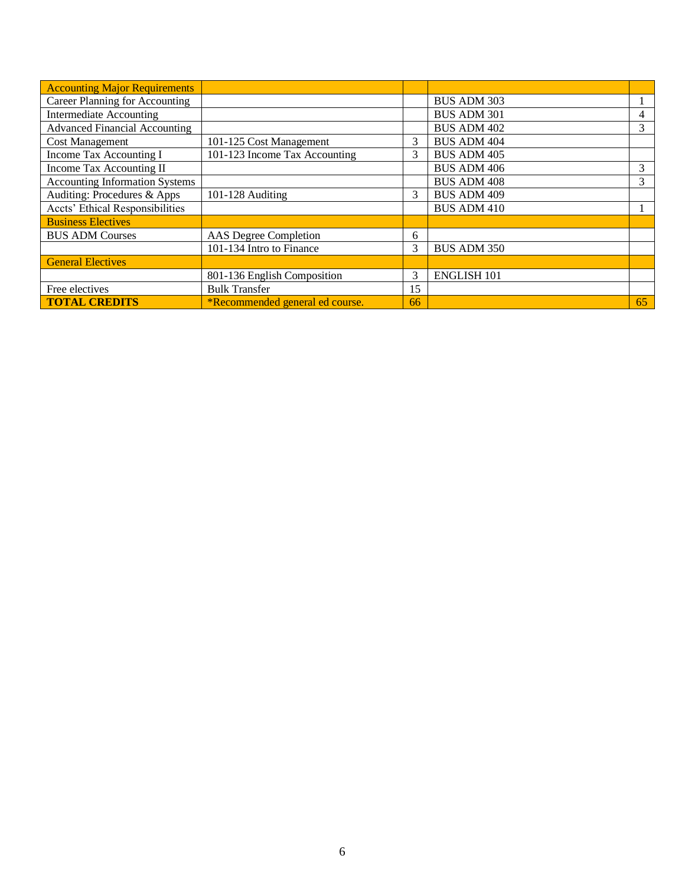| <b>Accounting Major Requirements</b>                     |                                 |    |                    |    |
|----------------------------------------------------------|---------------------------------|----|--------------------|----|
| <b>Career Planning for Accounting</b>                    |                                 |    | <b>BUS ADM 303</b> |    |
| <b>Intermediate Accounting</b>                           |                                 |    | <b>BUS ADM 301</b> |    |
| <b>Advanced Financial Accounting</b>                     |                                 |    | <b>BUS ADM 402</b> | 3  |
| <b>Cost Management</b>                                   | 101-125 Cost Management         |    | <b>BUS ADM 404</b> |    |
| 101-123 Income Tax Accounting<br>Income Tax Accounting I |                                 | 3  | <b>BUS ADM 405</b> |    |
| Income Tax Accounting II                                 |                                 |    | <b>BUS ADM 406</b> | 3  |
| <b>Accounting Information Systems</b>                    |                                 |    | <b>BUS ADM 408</b> | 3  |
| Auditing: Procedures & Apps                              | 101-128 Auditing                | 3  | <b>BUS ADM 409</b> |    |
| <b>Accts' Ethical Responsibilities</b>                   |                                 |    | <b>BUS ADM 410</b> |    |
| <b>Business Electives</b>                                |                                 |    |                    |    |
| <b>BUS ADM Courses</b>                                   | AAS Degree Completion           | 6  |                    |    |
|                                                          | 101-134 Intro to Finance        | 3  | <b>BUS ADM 350</b> |    |
| <b>General Electives</b>                                 |                                 |    |                    |    |
|                                                          | 801-136 English Composition     | 3  | <b>ENGLISH 101</b> |    |
| Free electives                                           | <b>Bulk Transfer</b>            | 15 |                    |    |
| <b>TOTAL CREDITS</b>                                     | *Recommended general ed course. | 66 |                    | 65 |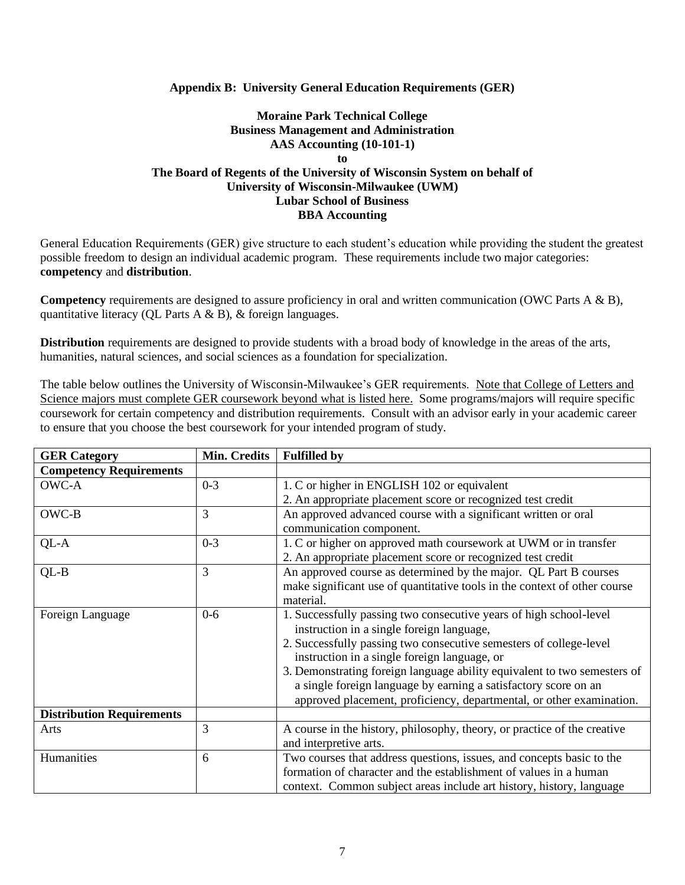### **Appendix B: University General Education Requirements (GER)**

## **Moraine Park Technical College Business Management and Administration AAS Accounting (10-101-1) to The Board of Regents of the University of Wisconsin System on behalf of University of Wisconsin-Milwaukee (UWM) Lubar School of Business BBA Accounting**

General Education Requirements (GER) give structure to each student's education while providing the student the greatest possible freedom to design an individual academic program. These requirements include two major categories: **competency** and **distribution**.

**Competency** requirements are designed to assure proficiency in oral and written communication (OWC Parts A & B), quantitative literacy (QL Parts A & B), & foreign languages.

**Distribution** requirements are designed to provide students with a broad body of knowledge in the areas of the arts, humanities, natural sciences, and social sciences as a foundation for specialization.

The table below outlines the University of Wisconsin-Milwaukee's GER requirements. Note that College of Letters and Science majors must complete GER coursework beyond what is listed here. Some programs/majors will require specific coursework for certain competency and distribution requirements. Consult with an advisor early in your academic career to ensure that you choose the best coursework for your intended program of study.

| <b>GER Category</b>              | Min. Credits | <b>Fulfilled by</b>                                                       |  |
|----------------------------------|--------------|---------------------------------------------------------------------------|--|
| <b>Competency Requirements</b>   |              |                                                                           |  |
| OWC-A                            | $0 - 3$      | 1. C or higher in ENGLISH 102 or equivalent                               |  |
|                                  |              | 2. An appropriate placement score or recognized test credit               |  |
| OWC-B                            | 3            | An approved advanced course with a significant written or oral            |  |
|                                  |              | communication component.                                                  |  |
| QL-A                             | $0 - 3$      | 1. C or higher on approved math coursework at UWM or in transfer          |  |
|                                  |              | 2. An appropriate placement score or recognized test credit               |  |
| $QL-B$                           | 3            | An approved course as determined by the major. QL Part B courses          |  |
|                                  |              | make significant use of quantitative tools in the context of other course |  |
|                                  |              | material.                                                                 |  |
| Foreign Language                 | $0-6$        | 1. Successfully passing two consecutive years of high school-level        |  |
|                                  |              | instruction in a single foreign language,                                 |  |
|                                  |              | 2. Successfully passing two consecutive semesters of college-level        |  |
|                                  |              | instruction in a single foreign language, or                              |  |
|                                  |              | 3. Demonstrating foreign language ability equivalent to two semesters of  |  |
|                                  |              | a single foreign language by earning a satisfactory score on an           |  |
|                                  |              | approved placement, proficiency, departmental, or other examination.      |  |
| <b>Distribution Requirements</b> |              |                                                                           |  |
| Arts                             | 3            | A course in the history, philosophy, theory, or practice of the creative  |  |
|                                  |              | and interpretive arts.                                                    |  |
| Humanities<br>6                  |              | Two courses that address questions, issues, and concepts basic to the     |  |
|                                  |              | formation of character and the establishment of values in a human         |  |
|                                  |              | context. Common subject areas include art history, history, language      |  |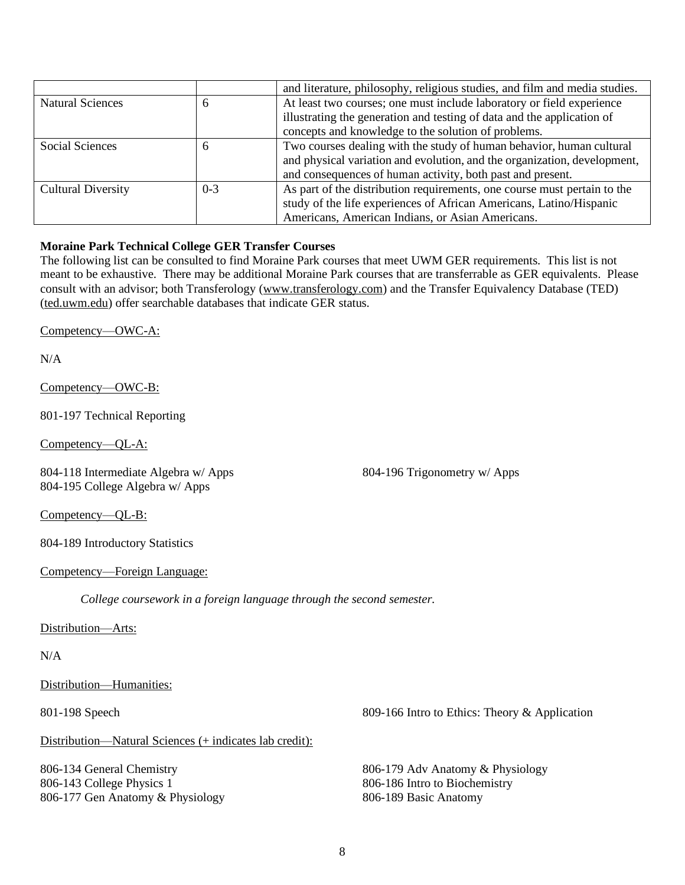|                                         |  | and literature, philosophy, religious studies, and film and media studies. |  |  |
|-----------------------------------------|--|----------------------------------------------------------------------------|--|--|
| <b>Natural Sciences</b><br><sup>t</sup> |  | At least two courses; one must include laboratory or field experience      |  |  |
|                                         |  | illustrating the generation and testing of data and the application of     |  |  |
|                                         |  | concepts and knowledge to the solution of problems.                        |  |  |
| Social Sciences<br>6                    |  | Two courses dealing with the study of human behavior, human cultural       |  |  |
|                                         |  | and physical variation and evolution, and the organization, development,   |  |  |
|                                         |  | and consequences of human activity, both past and present.                 |  |  |
| $0 - 3$<br><b>Cultural Diversity</b>    |  | As part of the distribution requirements, one course must pertain to the   |  |  |
|                                         |  | study of the life experiences of African Americans, Latino/Hispanic        |  |  |
|                                         |  | Americans, American Indians, or Asian Americans.                           |  |  |

### **Moraine Park Technical College GER Transfer Courses**

The following list can be consulted to find Moraine Park courses that meet UWM GER requirements. This list is not meant to be exhaustive. There may be additional Moraine Park courses that are transferrable as GER equivalents. Please consult with an advisor; both Transferology (www.transferology.com) and the Transfer Equivalency Database (TED) (ted.uwm.edu) offer searchable databases that indicate GER status.

Competency—OWC-A:

N/A

Competency—OWC-B:

801-197 Technical Reporting

Competency—QL-A:

804-118 Intermediate Algebra w/ Apps 804-195 College Algebra w/ Apps

804-196 Trigonometry w/ Apps

Competency—QL-B:

804-189 Introductory Statistics

#### Competency—Foreign Language:

*College coursework in a foreign language through the second semester.*

Distribution—Arts:

#### N/A

Distribution—Humanities:

Distribution—Natural Sciences (+ indicates lab credit):

806-134 General Chemistry 806-143 College Physics 1 806-177 Gen Anatomy & Physiology

801-198 Speech 809-166 Intro to Ethics: Theory & Application

806-179 Adv Anatomy & Physiology 806-186 Intro to Biochemistry 806-189 Basic Anatomy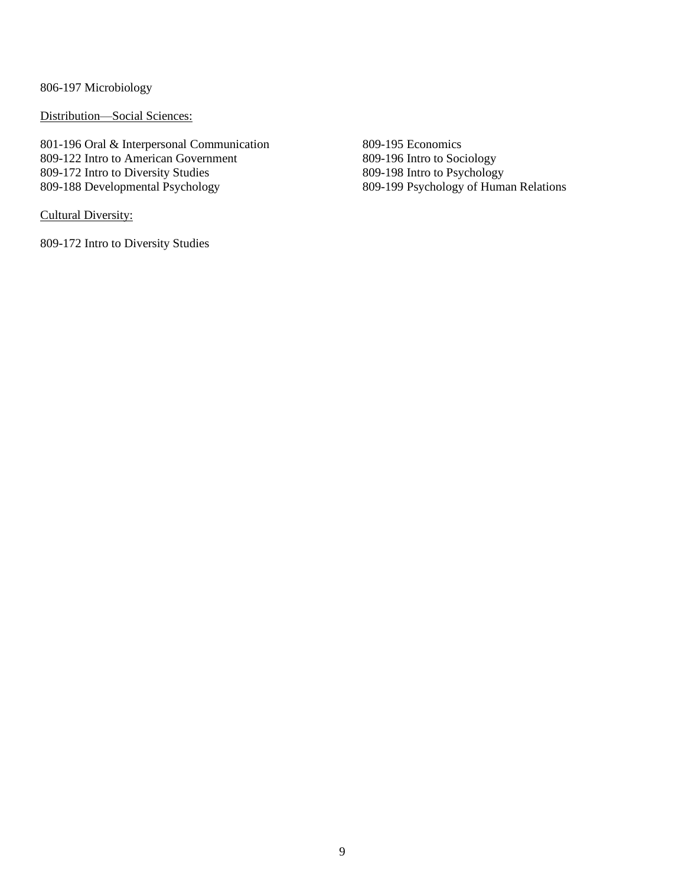806-197 Microbiology

Distribution—Social Sciences:

801-196 Oral & Interpersonal Communication 809-122 Intro to American Government 809-172 Intro to Diversity Studies 809-188 Developmental Psychology

Cultural Diversity:

809-172 Intro to Diversity Studies

809-195 Economics 809-196 Intro to Sociology 809-198 Intro to Psychology 809-199 Psychology of Human Relations